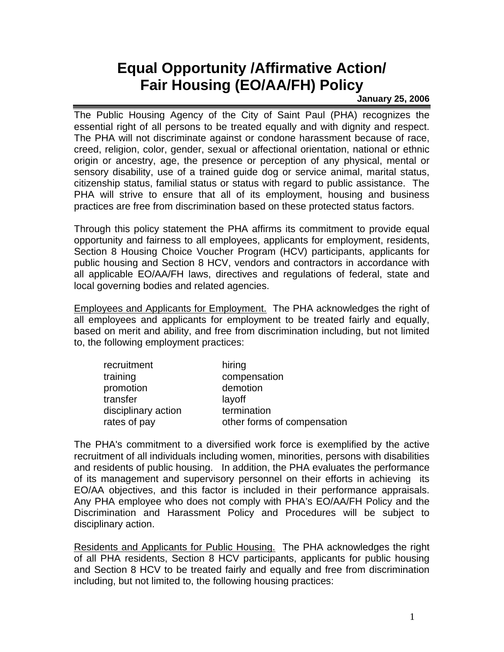## **Equal Opportunity /Affirmative Action/ Fair Housing (EO/AA/FH) Policy**

## **January 25, 2006**

The Public Housing Agency of the City of Saint Paul (PHA) recognizes the essential right of all persons to be treated equally and with dignity and respect. The PHA will not discriminate against or condone harassment because of race, creed, religion, color, gender, sexual or affectional orientation, national or ethnic origin or ancestry, age, the presence or perception of any physical, mental or sensory disability, use of a trained guide dog or service animal, marital status, citizenship status, familial status or status with regard to public assistance. The PHA will strive to ensure that all of its employment, housing and business practices are free from discrimination based on these protected status factors.

Through this policy statement the PHA affirms its commitment to provide equal opportunity and fairness to all employees, applicants for employment, residents, Section 8 Housing Choice Voucher Program (HCV) participants, applicants for public housing and Section 8 HCV, vendors and contractors in accordance with all applicable EO/AA/FH laws, directives and regulations of federal, state and local governing bodies and related agencies.

Employees and Applicants for Employment. The PHA acknowledges the right of all employees and applicants for employment to be treated fairly and equally, based on merit and ability, and free from discrimination including, but not limited to, the following employment practices:

| recruitment         | hiring                      |
|---------------------|-----------------------------|
| training            | compensation                |
| promotion           | demotion                    |
| transfer            | layoff                      |
| disciplinary action | termination                 |
| rates of pay        | other forms of compensation |

The PHA's commitment to a diversified work force is exemplified by the active recruitment of all individuals including women, minorities, persons with disabilities and residents of public housing. In addition, the PHA evaluates the performance of its management and supervisory personnel on their efforts in achieving its EO/AA objectives, and this factor is included in their performance appraisals. Any PHA employee who does not comply with PHA's EO/AA/FH Policy and the Discrimination and Harassment Policy and Procedures will be subject to disciplinary action.

Residents and Applicants for Public Housing. The PHA acknowledges the right of all PHA residents, Section 8 HCV participants, applicants for public housing and Section 8 HCV to be treated fairly and equally and free from discrimination including, but not limited to, the following housing practices: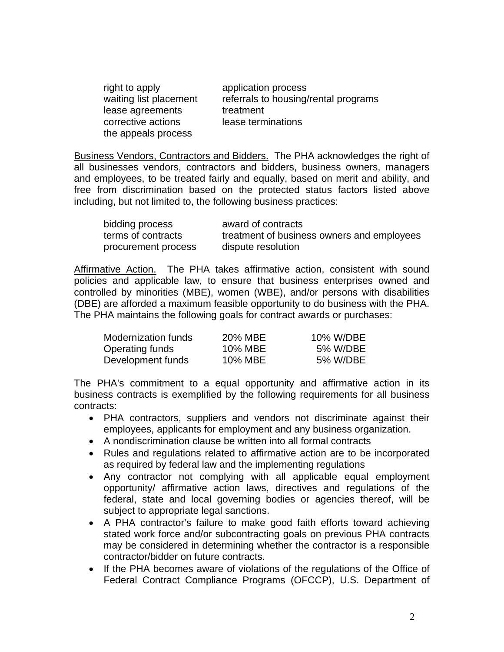| right to apply         | application process                  |
|------------------------|--------------------------------------|
| waiting list placement | referrals to housing/rental programs |
| lease agreements       | treatment                            |
| corrective actions     | lease terminations                   |
| the appeals process    |                                      |

Business Vendors, Contractors and Bidders. The PHA acknowledges the right of all businesses vendors, contractors and bidders, business owners, managers and employees, to be treated fairly and equally, based on merit and ability, and free from discrimination based on the protected status factors listed above including, but not limited to, the following business practices:

| bidding process     | award of contracts                         |
|---------------------|--------------------------------------------|
| terms of contracts  | treatment of business owners and employees |
| procurement process | dispute resolution                         |

Affirmative Action. The PHA takes affirmative action, consistent with sound policies and applicable law, to ensure that business enterprises owned and controlled by minorities (MBE), women (WBE), and/or persons with disabiliti es (DBE) are afforded a maximum feasible opportunity to do business with the PHA. The PHA maintains the following goals for contract awards or purchases:

| Modernization funds | 20% MBE | 10% W/DBE |
|---------------------|---------|-----------|
| Operating funds     | 10% MBE | 5% W/DBE  |
| Development funds   | 10% MBE | 5% W/DBE  |

The PHA's commitment to a equal opportunity and affirmative action in its business contracts is exemplified by the following requirements for all business contracts:

- PHA contractors, suppliers and vendors not discriminate against their employees, applicants for employment and any business organization.
- A nondiscrimination clause be written into all formal contracts
- Rules and regulations related to affirmative action are to be incorporated as required by federal law and the implementing regulations
- Any contractor not complying with all applicable equal employment opportunity/ affirmative action laws, directives and regulations of the federal, state and local governing bodies or agencies thereof, will be subject to appropriate legal sanctions.
- A PHA contractor's failure to make good faith efforts toward achieving stated work force and/or subcontracting goals on previous PHA contracts may be considered in determining whether the contractor is a responsible contractor/bidder on future contracts.
- If the PHA becomes aware of violations of the regulations of the Office of Federal Contract Compliance Programs (OFCCP), U.S. Department of